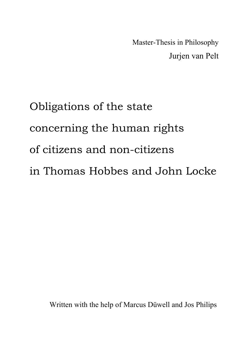Master-Thesis in Philosophy Jurjen van Pelt

# Obligations of the state concerning the human rights of citizens and non-citizens in Thomas Hobbes and John Locke

Written with the help of Marcus Düwell and Jos Philips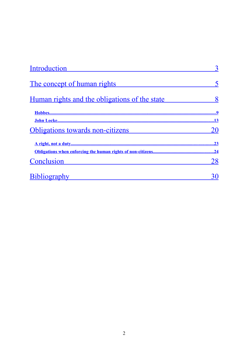| Introduction                                  |     |
|-----------------------------------------------|-----|
| The concept of human rights                   |     |
| Human rights and the obligations of the state |     |
|                                               |     |
|                                               |     |
| Obligations towards non-citizens              |     |
|                                               | .23 |
|                                               | .24 |
| Conclusion                                    |     |
| <b>Bibliography</b>                           |     |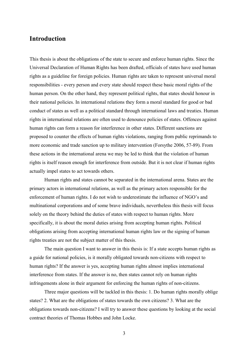#### <span id="page-2-0"></span>**Introduction**

This thesis is about the obligations of the state to secure and enforce human rights. Since the Universal Declaration of Human Rights has been drafted, officials of states have used human rights as a guideline for foreign policies. Human rights are taken to represent universal moral responsibilities - every person and every state should respect these basic moral rights of the human person. On the other hand, they represent political rights, that states should honour in their national policies. In international relations they form a moral standard for good or bad conduct of states as well as a political standard through international laws and treaties. Human rights in international relations are often used to denounce policies of states. Offences against human rights can form a reason for interference in other states. Different sanctions are proposed to counter the effects of human rights violations, ranging from public reprimands to more economic and trade sanction up to military intervention (Forsythe 2006, 57-89). From these actions in the international arena we may be led to think that the violation of human rights is itself reason enough for interference from outside. But it is not clear if human rights actually impel states to act towards others.

Human rights and states cannot be separated in the international arena. States are the primary actors in international relations, as well as the primary actors responsible for the enforcement of human rights. I do not wish to underestimate the influence of NGO's and multinational corporations and of some brave individuals, nevertheless this thesis will focus solely on the theory behind the duties of states with respect to human rights. More specifically, it is about the moral duties arising from accepting human rights. Political obligations arising from accepting international human rights law or the signing of human rights treaties are not the subject matter of this thesis.

The main question I want to answer in this thesis is: If a state accepts human rights as a guide for national policies, is it morally obligated towards non-citizens with respect to human rights? If the answer is yes, accepting human rights almost implies international interference from states. If the answer is no, then states cannot rely on human rights infringements alone in their argument for enforcing the human rights of non-citizens.

Three major questions will be tackled in this thesis: 1. Do human rights morally oblige states? 2. What are the obligations of states towards the own citizens? 3. What are the obligations towards non-citizens? I will try to answer these questions by looking at the social contract theories of Thomas Hobbes and John Locke.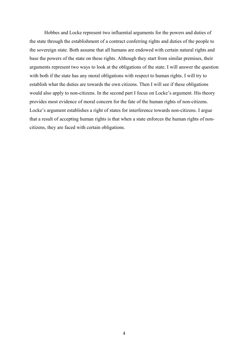Hobbes and Locke represent two influential arguments for the powers and duties of the state through the establishment of a contract conferring rights and duties of the people to the sovereign state. Both assume that all humans are endowed with certain natural rights and base the powers of the state on these rights. Although they start from similar premises, their arguments represent two ways to look at the obligations of the state. I will answer the question with both if the state has any moral obligations with respect to human rights. I will try to establish what the duties are towards the own citizens. Then I will see if these obligations would also apply to non-citizens. In the second part I focus on Locke's argument. His theory provides most evidence of moral concern for the fate of the human rights of non-citizens. Locke's argument establishes a right of states for interference towards non-citizens. I argue that a result of accepting human rights is that when a state enforces the human rights of noncitizens, they are faced with certain obligations.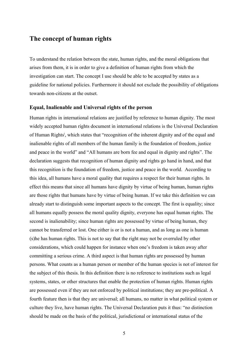## <span id="page-4-0"></span>**The concept of human rights**

To understand the relation between the state, human rights, and the moral obligations that arises from them, it is in order to give a definition of human rights from which the investigation can start. The concept I use should be able to be accepted by states as a guideline for national policies. Furthermore it should not exclude the possibility of obligations towards non-citizens at the outset.

#### **Equal, Inalienable and Universal rights of the person**

Human rights in international relations are justified by reference to human dignity. The most widely accepted human rights document in international relations is the Universal Declaration of Human R[i](#page-30-0)ghts<sup>i</sup>, which states that "recognition of the inherent dignity and of the equal and inalienable rights of all members of the human family is the foundation of freedom, justice and peace in the world" and "All humans are born fee and equal in dignity and rights". The declaration suggests that recognition of human dignity and rights go hand in hand, and that this recognition is the foundation of freedom, justice and peace in the world. According to this idea, all humans have a moral quality that requires a respect for their human rights. In effect this means that since all humans have dignity by virtue of being human, human rights are those rights that humans have by virtue of being human. If we take this definition we can already start to distinguish some important aspects to the concept. The first is equality; since all humans equally possess the moral quality dignity, everyone has equal human rights. The second is inalienability; since human rights are possessed by virtue of being human, they cannot be transferred or lost. One either is or is not a human, and as long as one is human (s)he has human rights. This is not to say that the right may not be overruled by other considerations, which could happen for instance when one's freedom is taken away after committing a serious crime. A third aspect is that human rights are possessed by human persons. What counts as a human person or member of the human species is not of interest for the subject of this thesis. In this definition there is no reference to institutions such as legal systems, states, or other structures that enable the protection of human rights. Human rights are possessed even if they are not enforced by political institutions; they are pre-political. A fourth feature then is that they are universal; all humans, no matter in what political system or culture they live, have human rights. The Universal Declaration puts it thus: "no distinction should be made on the basis of the political, jurisdictional or international status of the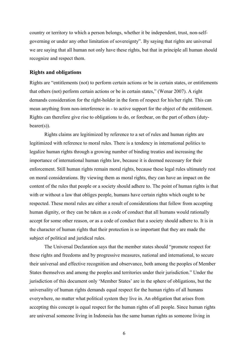country or territory to which a person belongs, whether it be independent, trust, non-selfgoverning or under any other limitation of sovereignty". By saying that rights are universal we are saying that all human not only have these rights, but that in principle all human should recognize and respect them.

#### **Rights and obligations**

Rights are "entitlements (not) to perform certain actions or be in certain states, or entitlements that others (not) perform certain actions or be in certain states," (Wenar 2007). A right demands consideration for the right-holder in the form of respect for his/her right. This can mean anything from non-interference in - to active support for the object of the entitlement. Rights can therefore give rise to obligations to do, or forebear, on the part of others (duty $bearer(s)$ ).

Rights claims are legitimized by reference to a set of rules and human rights are legitimized with reference to moral rules. There is a tendency in international politics to legalize human rights through a growing number of binding treaties and increasing the importance of international human rights law, because it is deemed necessary for their enforcement. Still human rights remain moral rights, because these legal rules ultimately rest on moral considerations. By viewing them as moral rights, they can have an impact on the content of the rules that people or a society should adhere to. The point of human rights is that with or without a law that obliges people, humans have certain rights which ought to be respected. These moral rules are either a result of considerations that follow from accepting human dignity, or they can be taken as a code of conduct that all humans would rationally accept for some other reason, or as a code of conduct that a society should adhere to. It is in the character of human rights that their protection is so important that they are made the subject of political and juridical rules.

The Universal Declaration says that the member states should "promote respect for these rights and freedoms and by progressive measures, national and international, to secure their universal and effective recognition and observance, both among the peoples of Member States themselves and among the peoples and territories under their jurisdiction." Under the jurisdiction of this document only 'Member States' are in the sphere of obligations, but the universality of human rights demands equal respect for the human rights of all humans everywhere, no matter what political system they live in. An obligation that arises from accepting this concept is equal respect for the human rights of all people. Since human rights are universal someone living in Indonesia has the same human rights as someone living in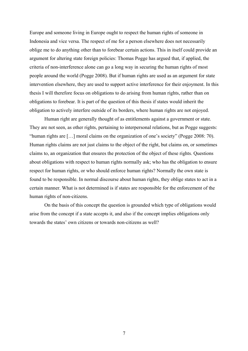Europe and someone living in Europe ought to respect the human rights of someone in Indonesia and vice versa. The respect of me for a person elsewhere does not necessarily oblige me to do anything other than to forebear certain actions. This in itself could provide an argument for altering state foreign policies: Thomas Pogge has argued that, if applied, the criteria of non-interference alone can go a long way in securing the human rights of most people around the world (Pogge 2008). But if human rights are used as an argument for state intervention elsewhere, they are used to support active interference for their enjoyment. In this thesis I will therefore focus on obligations to do arising from human rights, rather than on obligations to forebear. It is part of the question of this thesis if states would inherit the obligation to actively interfere outside of its borders, where human rights are not enjoyed.

Human right are generally thought of as entitlements against a government or state. They are not seen, as other rights, pertaining to interpersonal relations, but as Pogge suggests: "human rights are […] moral claims on the organization of one's society" (Pogge 2008: 70). Human rights claims are not just claims to the object of the right, but claims on, or sometimes claims to, an organization that ensures the protection of the object of these rights. Questions about obligations with respect to human rights normally ask; who has the obligation to ensure respect for human rights, or who should enforce human rights? Normally the own state is found to be responsible. In normal discourse about human rights, they oblige states to act in a certain manner. What is not determined is if states are responsible for the enforcement of the human rights of non-citizens.

On the basis of this concept the question is grounded which type of obligations would arise from the concept if a state accepts it, and also if the concept implies obligations only towards the states' own citizens or towards non-citizens as well?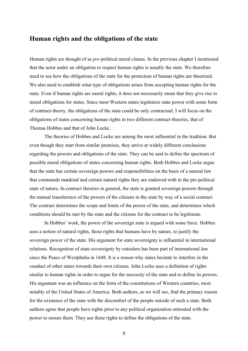#### <span id="page-7-0"></span>**Human rights and the obligations of the state**

Human rights are thought of as *pre-*political moral claims. In the previous chapter I mentioned that the actor under an obligation to respect human rights is usually the state. We therefore need to see how the obligations of the state for the protection of human rights are theorized. We also need to establish what type of obligations arises from accepting human rights for the state. Even if human rights are moral rights, it does not necessarily mean that they give rise to moral obligations for states. Since most Western states legitimize state power with some form of contract-theory, the obligations of the state could be only contractual. I will focus on the obligations of states concerning human rights in two different contract-theories, that of Thomas Hobbes and that of John Locke.

The theories of Hobbes and Locke are among the most influential in the tradition. But even though they start from similar premises, they arrive at widely different conclusions regarding the powers and obligations of the state. They can be said to define the spectrum of possible moral obligations of states concerning human rights. Both Hobbes and Locke argue that the state has certain sovereign powers and responsibilities on the basis of a natural law that commands mankind and certain natural rights they are endowed with in the pre-political state of nature. In contract theories in general, the state is granted sovereign powers through the mutual transference of the powers of the citizens to the state by way of a social contract. The contract determines the scope and limits of the power of the state, and determines which conditions should be met by the state and the citizens for the contract to be legitimate.

In Hobbes' work, the power of the sovereign state is argued with some force. Hobbes uses a notion of natural rights, those rights that humans have by nature, to justify the sovereign power of the state. His argument for state sovereignty is influential in international relations. Recognition of state-sovereignty by outsiders has been part of international law since the Peace of Westphalia in 1648. It is a reason why states hesitate to interfere in the conduct of other states towards their own citizens. John Locke uses a definition of rights similar to human rights in order to argue for the necessity of the state and to define its powers. His argument was an influence on the form of the constitutions of Western countries, most notably of the United States of America. Both authors, as we will see, find the primary reason for the existence of the state with the discomfort of the people outside of such a state. Both authors agree that people have rights prior to any political organization entrusted with the power to ensure them. They use these rights to define the obligations of the state.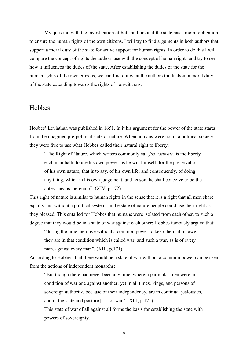My question with the investigation of both authors is if the state has a moral obligation to ensure the human rights of the own citizens. I will try to find arguments in both authors that support a moral duty of the state for active support for human rights. In order to do this I will compare the concept of rights the authors use with the concept of human rights and try to see how it influences the duties of the state. After establishing the duties of the state for the human rights of the own citizens, we can find out what the authors think about a moral duty of the state extending towards the rights of non-citizens.

#### <span id="page-8-0"></span>**Hobbes**

Hobbes' Leviathan was published in 1651. In it his argument for the power of the state starts from the imagined pre-political state of nature. When humans were not in a political society, they were free to use what Hobbes called their natural right to liberty:

"The Right of Nature, which writers commonly call *jus naturale*, is the liberty each man hath, to use his own power, as he will himself, for the preservation of his own nature; that is to say, of his own life; and consequently, of doing any thing, which in his own judgement, and reason, he shall conceive to be the aptest means thereunto". (XIV, p.172)

This right of nature is similar to human rights in the sense that it is a right that all men share equally and without a political system. In the state of nature people could use their right as they pleased. This entailed for Hobbes that humans were isolated from each other, to such a degree that they would be in a state of war against each other; Hobbes famously argued that:

"during the time men live without a common power to keep them all in awe, they are in that condition which is called war; and such a war, as is of every man, against every man". (XIII, p.171)

According to Hobbes, that there would be a state of war without a common power can be seen from the actions of independent monarchs:

"But though there had never been any time, wherein particular men were in a condition of war one against another; yet in all times, kings, and persons of sovereign authority, because of their independency, are in continual jealousies, and in the state and posture  $[\dots]$  of war." (XIII, p.171)

This state of war of all against all forms the basis for establishing the state with powers of sovereignty.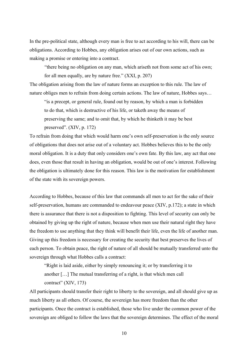In the pre-political state, although every man is free to act according to his will, there can be obligations. According to Hobbes, any obligation arises out of our own actions, such as making a promise or entering into a contract.

"there being no obligation on any man, which ariseth not from some act of his own; for all men equally, are by nature free." (XXI, p. 207)

The obligation arising from the law of nature forms an exception to this rule. The law of nature obliges men to refrain from doing certain actions. The law of nature, Hobbes says…

"is a precept, or general rule, found out by reason, by which a man is forbidden to do that, which is destructive of his life, or taketh away the means of preserving the same; and to omit that, by which he thinketh it may be best preserved". (XIV, p. 172)

To refrain from doing that which would harm one's own self-preservation is the only source of obligations that does not arise out of a voluntary act. Hobbes believes this to be the only moral obligation. It is a duty that only considers one's own fate. By this law, any act that one does, even those that result in having an obligation, would be out of one's interest. Following the obligation is ultimately done for this reason. This law is the motivation for establishment of the state with its sovereign powers.

According to Hobbes, because of this law that commands all men to act for the sake of their self-preservation, humans are commanded to endeavour peace (XIV, p.172); a state in which there is assurance that there is not a disposition to fighting. This level of security can only be obtained by giving up the right of nature, because when men use their natural right they have the freedom to use anything that they think will benefit their life, even the life of another man. Giving up this freedom is necessary for creating the security that best preserves the lives of each person. To obtain peace, the right of nature of all should be mutually transferred unto the sovereign through what Hobbes calls a contract:

"Right is laid aside, either by simply renouncing it; or by transferring it to another […] The mutual transferring of a right, is that which men call contract" (XIV, 173)

All participants should transfer their right to liberty to the sovereign, and all should give up as much liberty as all others. Of course, the sovereign has more freedom than the other participants. Once the contract is established, those who live under the common power of the sovereign are obliged to follow the laws that the sovereign determines. The effect of the moral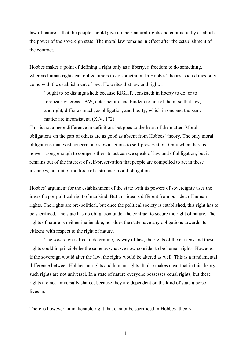law of nature is that the people should give up their natural rights and contractually establish the power of the sovereign state. The moral law remains in effect after the establishment of the contract.

Hobbes makes a point of defining a right only as a liberty, a freedom to do something, whereas human rights can oblige others to do something. In Hobbes' theory, such duties only come with the establishment of law. He writes that law and right…

"ought to be distinguished; because RIGHT, consisteth in liberty to do, or to forebear; whereas LAW, determenith, and bindeth to one of them: so that law, and right, differ as much, as obligation, and liberty; which in one and the same matter are inconsistent. (XIV, 172)

This is not a mere difference in definition, but goes to the heart of the matter. Moral obligations on the part of others are as good as absent from Hobbes' theory. The only moral obligations that exist concern one's own actions to self-preservation. Only when there is a power strong enough to compel others to act can we speak of law and of obligation, but it remains out of the interest of self-preservation that people are compelled to act in these instances, not out of the force of a stronger moral obligation.

Hobbes' argument for the establishment of the state with its powers of sovereignty uses the idea of a pre-political right of mankind. But this idea is different from our idea of human rights. The rights are pre-political, but once the political society is established, this right has to be sacrificed. The state has no obligation under the contract to secure the right of nature. The rights of nature is neither inalienable, nor does the state have any obligations towards its citizens with respect to the right of nature.

The sovereign is free to determine, by way of law, the rights of the citizens and these rights could in principle be the same as what we now consider to be human rights. However, if the sovereign would alter the law, the rights would be altered as well. This is a fundamental difference between Hobbesian rights and human rights. It also makes clear that in this theory such rights are not universal. In a state of nature everyone possesses equal rights, but these rights are not universally shared, because they are dependent on the kind of state a person lives in.

There is however an inalienable right that cannot be sacrificed in Hobbes' theory: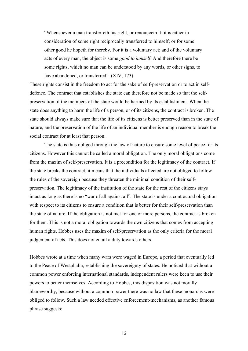"Whensoever a man transferreth his right, or renounceth it; it is either in consideration of some right reciprocally transferred to himself; or for some other good he hopeth for thereby. For it is a voluntary act; and of the voluntary acts of every man, the object is some *good to himself*. And therefore there be some rights, which no man can be understood by any words, or other signs, to have abandoned, or transferred". (XIV, 173)

These rights consist in the freedom to act for the sake of self-preservation or to act in selfdefence. The contract that establishes the state can therefore not be made so that the selfpreservation of the members of the state would be harmed by its establishment. When the state does anything to harm the life of a person, or of its citizens, the contract is broken. The state should always make sure that the life of its citizens is better preserved than in the state of nature, and the preservation of the life of an individual member is enough reason to break the social contract for at least that person.

The state is thus obliged through the law of nature to ensure some level of peace for its citizens. However this cannot be called a moral obligation. The only moral obligations come from the maxim of self-preservation. It is a precondition for the legitimacy of the contract. If the state breaks the contract, it means that the individuals affected are not obliged to follow the rules of the sovereign because they threaten the minimal condition of their selfpreservation. The legitimacy of the institution of the state for the rest of the citizens stays intact as long as there is no "war of all against all". The state is under a contractual obligation with respect to its citizens to ensure a condition that is better for their self-preservation than the state of nature. If the obligation is not met for one or more persons, the contract is broken for them. This is not a moral obligation towards the own citizens that comes from accepting human rights. Hobbes uses the maxim of self-preservation as the only criteria for the moral judgement of acts. This does not entail a duty towards others.

Hobbes wrote at a time when many wars were waged in Europe, a period that eventually led to the Peace of Westphalia, establishing the sovereignty of states. He noticed that without a common power enforcing international standards, independent rulers were keen to use their powers to better themselves. According to Hobbes, this disposition was not morally blameworthy, because without a common power there was no law that these monarchs were obliged to follow. Such a law needed effective enforcement-mechanisms, as another famous phrase suggests: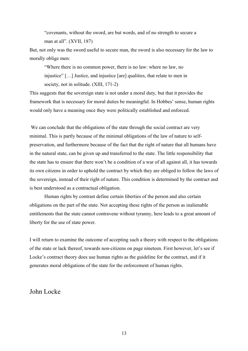"covenants, without the sword, are but words, and of no strength to secure a man at all". (XVII, 187)

But, not only was the sword useful to secure man, the sword is also necessary for the law to morally oblige men:

"Where there is no common power, there is no law: where no law, no injustice" […] Justice, and injustice [are] qualities, that relate to men in society, not in solitude. (XIII, 171-2)

This suggests that the sovereign state is not under a moral duty, but that it provides the framework that is necessary for moral duties be meaningful. In Hobbes' sense, human rights would only have a meaning once they were politically established and enforced.

We can conclude that the obligations of the state through the social contract are very minimal. This is partly because of the minimal obligations of the law of nature to selfpreservation, and furthermore because of the fact that the right of nature that all humans have in the natural state, can be given up and transferred to the state. The little responsibility that the state has to ensure that there won't be a condition of a war of all against all, it has towards its own citizens in order to uphold the contract by which they are obliged to follow the laws of the sovereign, instead of their right of nature. This condition is determined by the contract and is best understood as a contractual obligation.

Human rights by contrast define certain liberties of the person and also certain obligations on the part of the state. Not accepting these rights of the person as inalienable entitlements that the state cannot contravene without tyranny, here leads to a great amount of liberty for the use of state power.

I will return to examine the outcome of accepting such a theory with respect to the obligations of the state or lack thereof, towards non-citizens on page nineteen. First however, let's see if Locke's contract theory does use human rights as the guideline for the contract, and if it generates moral obligations of the state for the enforcement of human rights.

## <span id="page-12-0"></span>John Locke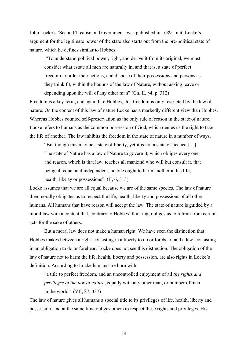John Locke's 'Second Treatise on Government' was published in 1689. In it, Locke's argument for the legitimate power of the state also starts out from the pre-political state of nature, which he defines similar to Hobbes:

"To understand political power, right, and derive it from its original, we must consider what estate all men are naturally in, and that is, a state of perfect freedom to order their actions, and dispose of their possessions and persons as they think fit, within the bounds of the law of Nature, without asking leave or depending upon the will of any other man" (Ch. II, §4, p. 312)

Freedom is a key-term, and again like Hobbes, this freedom is only restricted by the law of nature. On the content of this law of nature Locke has a markedly different view than Hobbes. Whereas Hobbes counted self-preservation as the only rule of reason in the state of nature, Locke refers to humans as the common possession of God, which denies us the right to take the life of another. The law inhibits the freedom in the state of nature in a number of ways.

"But though this may be a state of liberty, yet it is not a state of licence […] The state of Nature has a law of Nature to govern it, which obliges every one, and reason, which is that law, teaches all mankind who will but consult it, that being all equal and independent, no one ought to harm another in his life, health, liberty or possessions". (II, 6, 313)

Locke assumes that we are all equal because we are of the same species. The law of nature then morally obligates us to respect the life, health, liberty and possessions of all other humans. All humans that have reason will accept the law. The state of nature is guided by a moral law with a content that, contrary to Hobbes' thinking, obliges us to refrain from certain acts for the sake of others.

But a moral law does not make a human right. We have seen the distinction that Hobbes makes between a right, consisting in a liberty to do or forebear, and a law, consisting in an obligation to do or forebear. Locke does not see this distinction. The obligation of the law of nature not to harm the life, health, liberty and possession, are also rights in Locke's definition. According to Locke humans are born with:

"a title to perfect freedom, and an uncontrolled enjoyment of all *the rights and privileges of the law of nature*, equally with any other man, or number of men in the world" (VII, 87, 337)

The law of nature gives all humans a special title to its privileges of life, health, liberty and possession, and at the same time obliges others to respect these rights and privileges. His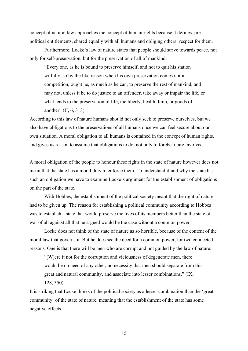concept of natural law approaches the concept of human rights because it defines prepolitical entitlements, shared equally with all humans and obliging others' respect for them.

Furthermore, Locke's law of nature states that people should strive towards peace, not only for self-preservation, but for the preservation of all of mankind:

"Every one, as he is bound to preserve himself, and not to quit his station wilfully, so by the like reason when his own preservation comes not in competition, ought he, as much as he can, to preserve the rest of mankind, and may not, unless it be to do justice to an offender, take away or impair the life, or what tends to the preservation of life, the liberty, health, limb, or goods of another" (II, 6, 313)

According to this law of nature humans should not only seek to preserve ourselves, but we also have obligations to the preservations of all humans once we can feel secure about our own situation. A moral obligation to all humans is contained in the concept of human rights, and gives us reason to assume that obligations to do, not only to forebear, are involved.

A moral obligation of the people to honour these rights in the state of nature however does not mean that the state has a moral duty to enforce them. To understand if and why the state has such an obligation we have to examine Locke's argument for the establishment of obligations on the part of the state.

With Hobbes, the establishment of the political society meant that the right of nature had to be given up. The reason for establishing a political community according to Hobbes was to establish a state that would preserve the lives of its members better than the state of war of all against all that he argued would be the case without a common power.

Locke does not think of the state of nature as so horrible, because of the content of the moral law that governs it. But he does see the need for a common power, for two connected reasons. One is that there will be men who are corrupt and not guided by the law of nature:

"[W]ere it not for the corruption and viciousness of degenerate men, there would be no need of any other, no necessity that men should separate from this great and natural community, and associate into lesser combinations." (IX, 128, 350)

It is striking that Locke thinks of the political society as a lesser combination than the 'great community' of the state of nature, meaning that the establishment of the state has some negative effects.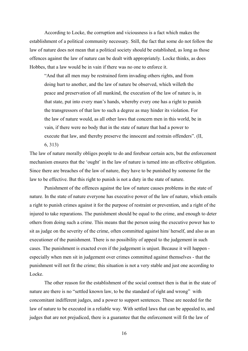According to Locke, the corruption and viciousness is a fact which makes the establishment of a political community necessary. Still, the fact that some do not follow the law of nature does not mean that a political society should be established, as long as those offences against the law of nature can be dealt with appropriately. Locke thinks, as does Hobbes, that a law would be in vain if there was no one to enforce it.

"And that all men may be restrained form invading others rights, and from doing hurt to another, and the law of nature be observed, which willeth the peace and preservation of all mankind, the execution of the law of nature is, in that state, put into every man's hands, whereby every one has a right to punish the transgressors of that law to such a degree as may hinder its violation. For the law of nature would, as all other laws that concern men in this world, be in vain, if there were no body that in the state of nature that had a power to execute that law, and thereby preserve the innocent and restrain offenders". (II, 6, 313)

The law of nature morally obliges people to do and forebear certain acts, but the enforcement mechanism ensures that the 'ought' in the law of nature is turned into an effective obligation. Since there are breaches of the law of nature, they have to be punished by someone for the law to be effective. But this right to punish is not a duty in the state of nature.

Punishment of the offences against the law of nature causes problems in the state of nature. In the state of nature everyone has executive power of the law of nature, which entails a right to punish crimes against it for the purpose of restraint or prevention, and a right of the injured to take reparations. The punishment should be equal to the crime, and enough to deter others from doing such a crime. This means that the person using the executive power has to sit as judge on the severity of the crime, often committed against him/ herself, and also as an executioner of the punishment. There is no possibility of appeal to the judgement in such cases. The punishment is exacted even if the judgement is unjust. Because it will happen especially when men sit in judgement over crimes committed against themselves - that the punishment will not fit the crime; this situation is not a very stable and just one according to Locke.

The other reason for the establishment of the social contract then is that in the state of nature are there is no "settled known law, to be the standard of right and wrong" with concomitant indifferent judges, and a power to support sentences. These are needed for the law of nature to be executed in a reliable way. With settled laws that can be appealed to, and judges that are not prejudiced, there is a guarantee that the enforcement will fit the law of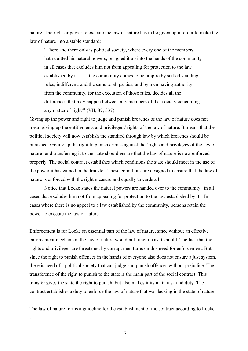nature. The right or power to execute the law of nature has to be given up in order to make the law of nature into a stable standard:

"There and there only is political society, where every one of the members hath quitted his natural powers, resigned it up into the hands of the community in all cases that excludes him not from appealing for protection to the law established by it. […] the community comes to be umpire by settled standing rules, indifferent, and the same to all parties; and by men having authority from the community, for the execution of those rules, decides all the differences that may happen between any members of that society concerning any matter of right"<sup>[1](#page-16-0)</sup> (VII, 87, 337)

Giving up the power and right to judge and punish breaches of the law of nature does not mean giving up the entitlements and privileges / rights of the law of nature. It means that the political society will now establish the standard through law by which breaches should be punished. Giving up the right to punish crimes against the 'rights and privileges of the law of nature' and transferring it to the state should ensure that the law of nature is now enforced properly. The social contract establishes which conditions the state should meet in the use of the power it has gained in the transfer. These conditions are designed to ensure that the law of nature is enforced with the right measure and equally towards all.

Notice that Locke states the natural powers are handed over to the community "in all cases that excludes him not from appealing for protection to the law established by it". In cases where there is no appeal to a law established by the community, persons retain the power to execute the law of nature.

Enforcement is for Locke an essential part of the law of nature, since without an effective enforcement mechanism the law of nature would not function as it should. The fact that the rights and privileges are threatened by corrupt men turns on this need for enforcement. But, since the right to punish offences in the hands of everyone also does not ensure a just system, there is need of a political society that can judge and punish offences without prejudice. The transference of the right to punish to the state is the main part of the social contract. This transfer gives the state the right to punish, but also makes it its main task and duty. The contract establishes a duty to enforce the law of nature that was lacking in the state of nature.

<span id="page-16-0"></span>The law of nature forms a guideline for the establishment of the contract according to Locke: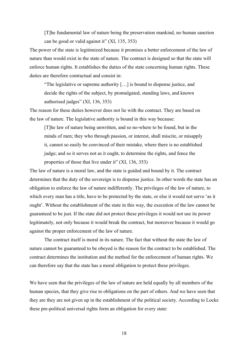[T]he fundamental law of nature being the preservation mankind, no human sanction can be good or valid against it" (XI, 135, 353)

The power of the state is legitimized because it promises a better enforcement of the law of nature than would exist in the state of nature. The contract is designed so that the state will enforce human rights. It establishes the duties of the state concerning human rights. These duties are therefore contractual and consist in:

"The legislative or supreme authority […] is bound to dispense justice, and decide the rights of the subject, by promulgated, standing laws, and known authorised judges" (XI, 136, 353)

The reason for these duties however does not lie with the contract. They are based on the law of nature. The legislative authority is bound in this way because:

[T]he law of nature being unwritten, and so no-where to be found, but in the minds of men; they who through passion, or interest, shall miscite, or misapply it, cannot so easily be convinced of their mistake, where there is no established judge; and so it serves not as it ought, to determine the rights, and fence the properties of those that live under it" (XI, 136, 353)

The law of nature is a moral law, and the state is guided and bound by it. The contract determines that the duty of the sovereign is to dispense justice. In other words the state has an obligation to enforce the law of nature indifferently. The privileges of the law of nature, to which every man has a title, have to be protected by the state, or else it would not serve 'as it ought'. Without the establishment of the state in this way, the execution of the law cannot be guaranteed to be just. If the state did not protect these privileges it would not use its power legitimately, not only because it would break the contract, but moreover because it would go against the proper enforcement of the law of nature.

The contract itself is moral in its nature. The fact that without the state the law of nature cannot be guaranteed to be obeyed is the reason for the contract to be established. The contract determines the institution and the method for the enforcement of human rights. We can therefore say that the state has a moral obligation to protect these privileges.

We have seen that the privileges of the law of nature are held equally by all members of the human species, that they give rise to obligations on the part of others. And we have seen that they are they are not given up in the establishment of the political society. According to Locke these pre-political universal rights form an obligation for every state: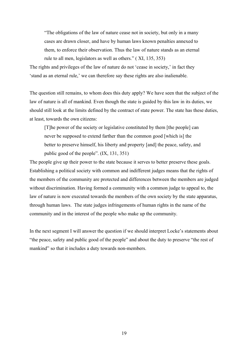"The obligations of the law of nature cease not in society, but only in a many cases are drawn closer, and have by human laws known penalties annexed to them, to enforce their observation. Thus the law of nature stands as an eternal rule to all men, legislators as well as others." ( XI, 135, 353)

The rights and privileges of the law of nature do not 'cease in society,' in fact they 'stand as an eternal rule,' we can therefore say these rights are also inalienable.

The question still remains, to whom does this duty apply? We have seen that the subject of the law of nature is all of mankind. Even though the state is guided by this law in its duties, we should still look at the limits defined by the contract of state power. The state has these duties, at least, towards the own citizens:

[T]he power of the society or legislative constituted by them [the people] can never be supposed to extend farther than the common good [which is] the better to preserve himself, his liberty and property [and] the peace, safety, and public good of the people". (IX, 131, 351)

The people give up their power to the state because it serves to better preserve these goals. Establishing a political society with common and indifferent judges means that the rights of the members of the community are protected and differences between the members are judged without discrimination. Having formed a community with a common judge to appeal to, the law of nature is now executed towards the members of the own society by the state apparatus, through human laws. The state judges infringements of human rights in the name of the community and in the interest of the people who make up the community.

In the next segment I will answer the question if we should interpret Locke's statements about "the peace, safety and public good of the people" and about the duty to preserve "the rest of mankind" so that it includes a duty towards non-members.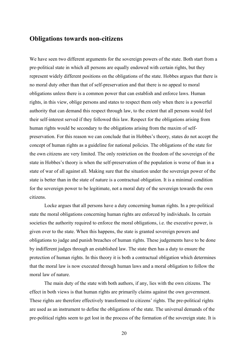### <span id="page-19-0"></span>**Obligations towards non-citizens**

We have seen two different arguments for the sovereign powers of the state. Both start from a pre-political state in which all persons are equally endowed with certain rights, but they represent widely different positions on the obligations of the state. Hobbes argues that there is no moral duty other than that of self-preservation and that there is no appeal to moral obligations unless there is a common power that can establish and enforce laws. Human rights, in this view, oblige persons and states to respect them only when there is a powerful authority that can demand this respect through law, to the extent that all persons would feel their self-interest served if they followed this law. Respect for the obligations arising from human rights would be secondary to the obligations arising from the maxim of selfpreservation. For this reason we can conclude that in Hobbes's theory, states do not accept the concept of human rights as a guideline for national policies. The obligations of the state for the own citizens are very limited. The only restriction on the freedom of the sovereign of the state in Hobbes's theory is when the self-preservation of the population is worse of than in a state of war of all against all. Making sure that the situation under the sovereign power of the state is better than in the state of nature is a contractual obligation. It is a minimal condition for the sovereign power to be legitimate, not a moral duty of the sovereign towards the own citizens.

Locke argues that all persons have a duty concerning human rights. In a pre-political state the moral obligations concerning human rights are enforced by individuals. In certain societies the authority required to enforce the moral obligations, i.e. the executive power, is given over to the state. When this happens, the state is granted sovereign powers and obligations to judge and punish breaches of human rights. These judgements have to be done by indifferent judges through an established law. The state then has a duty to ensure the protection of human rights. In this theory it is both a contractual obligation which determines that the moral law is now executed through human laws and a moral obligation to follow the moral law of nature.

The main duty of the state with both authors, if any, lies with the own citizens. The effect in both views is that human rights are primarily claims against the own government. These rights are therefore effectively transformed to citizens' rights. The pre-political rights are used as an instrument to define the obligations of the state. The universal demands of the pre-political rights seem to get lost in the process of the formation of the sovereign state. It is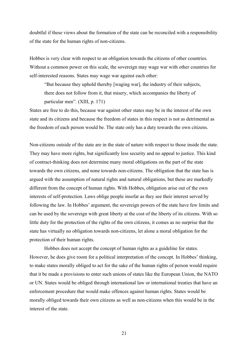doubtful if these views about the formation of the state can be reconciled with a responsibility of the state for the human rights of non-citizens.

Hobbes is very clear with respect to an obligation towards the citizens of other countries. Without a common power on this scale, the sovereign may wage war with other countries for self-interested reasons. States may wage war against each other:

"But because they uphold thereby [waging war], the industry of their subjects, there does not follow from it, that misery, which accompanies the liberty of particular men". (XIII, p. 171)

States are free to do this, because war against other states may be in the interest of the own state and its citizens and because the freedom of states in this respect is not as detrimental as the freedom of each person would be. The state only has a duty towards the own citizens.

Non-citizens outside of the state are in the state of nature with respect to those inside the state. They may have more rights, but significantly less security and no appeal to justice. This kind of contract-thinking does not determine many moral obligations on the part of the state towards the own citizens, and none towards non-citizens. The obligation that the state has is argued with the assumption of natural rights and natural obligations, but these are markedly different from the concept of human rights. With Hobbes, obligation arise out of the own interests of self-protection. Laws oblige people insofar as they see their interest served by following the law. In Hobbes' argument, the sovereign powers of the state have few limits and can be used by the sovereign with great liberty at the cost of the liberty of its citizens. With so little duty for the protection of the rights of the own citizens, it comes as no surprise that the state has virtually no obligation towards non-citizens, let alone a moral obligation for the protection of their human rights.

Hobbes does not accept the concept of human rights as a guideline for states. However, he does give room for a political interpretation of the concept. In Hobbes' thinking, to make states morally obliged to act for the sake of the human rights of person would require that it be made a provisions to enter such unions of states like the European Union, the NATO or UN. States would be obliged through international law or international treaties that have an enforcement procedure that would make offences against human rights. States would be morally obliged towards their own citizens as well as non-citizens when this would be in the interest of the state.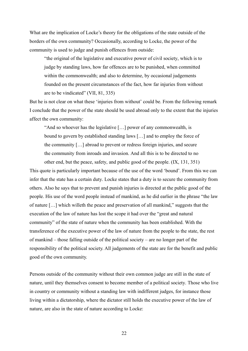What are the implication of Locke's theory for the obligations of the state outside of the borders of the own community? Occasionally, according to Locke, the power of the community is used to judge and punish offences from outside:

"the original of the legislative and executive power of civil society, which is to judge by standing laws, how far offences are to be punished, when committed within the commonwealth; and also to determine, by occasional judgements founded on the present circumstances of the fact, how far injuries from without are to be vindicated" (VII, 81, 335)

But he is not clear on what these 'injuries from without' could be. From the following remark I conclude that the power of the state should be used abroad only to the extent that the injuries affect the own community:

"And so whoever has the legislative […] power of any commonwealth, is bound to govern by established standing laws […] and to employ the force of the community […] abroad to prevent or redress foreign injuries, and secure the community from inroads and invasion. And all this is to be directed to no other end, but the peace, safety, and public good of the people. (IX, 131, 351)

This quote is particularly important because of the use of the word 'bound'. From this we can infer that the state has a certain duty. Locke states that a duty is to secure the community from others. Also he says that to prevent and punish injuries is directed at the public good of the people. His use of the word people instead of mankind, as he did earlier in the phrase "the law of nature […] which willeth the peace and preservation of all mankind," suggests that the execution of the law of nature has lost the scope it had over the "great and natural community" of the state of nature when the community has been established. With the transference of the executive power of the law of nature from the people to the state, the rest of mankind – those falling outside of the political society – are no longer part of the responsibility of the political society. All judgements of the state are for the benefit and public good of the own community.

Persons outside of the community without their own common judge are still in the state of nature, until they themselves consent to become member of a political society. Those who live in country or community without a standing law with indifferent judges, for instance those living within a dictatorship, where the dictator still holds the executive power of the law of nature, are also in the state of nature according to Locke: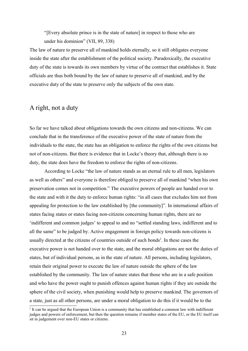"[Every absolute prince is in the state of nature] in respect to those who are under his dominion" (VII, 89, 338)

The law of nature to preserve all of mankind holds eternally, so it still obligates everyone inside the state after the establishment of the political society. Paradoxically, the executive duty of the state is towards its own members by virtue of the contract that establishes it. State officials are thus both bound by the law of nature to preserve all of mankind, and by the executive duty of the state to preserve only the subjects of the own state.

## <span id="page-22-0"></span>A right, not a duty

So far we have talked about obligations towards the own citizens and non-citizens. We can conclude that in the transference of the executive power of the state of nature from the individuals to the state, the state has an obligation to enforce the rights of the own citizens but not of non-citizens. But there is evidence that in Locke's theory that, although there is no duty, the state does have the freedom to enforce the rights of non-citizens.

According to Locke "the law of nature stands as an eternal rule to all men, legislators as well as others" and everyone is therefore obliged to preserve all of mankind "when his own preservation comes not in competition." The executive powers of people are handed over to the state and with it the duty to enforce human rights: "in all cases that excludes him not from appealing for protection to the law established by [the community]". In international affairs of states facing states or states facing non-citizens concerning human rights, there are no 'indifferent and common judges' to appeal to and no "settled standing laws, indifferent and to all the same" to be judged by. Active engagement in foreign policy towards non-citizens is usually directed at the citizens of countries outside of such bonds<sup>[2](#page-22-1)</sup>. In these cases the executive power is not handed over to the state, and the moral obligations are not the duties of states, but of individual persons, as in the state of nature. All persons, including legislators, retain their original power to execute the law of nature outside the sphere of the law established by the community. The law of nature states that those who are in a safe position and who have the power ought to punish offences against human rights if they are outside the sphere of the civil society, when punishing would help to preserve mankind. The governors of a state, just as all other persons, are under a moral obligation to do this if it would be to the

<span id="page-22-1"></span><sup>&</sup>lt;sup>2</sup> It can be argued that the European Union is a community that has established a common law with indifferent judges and powers of enforcement, but then the question remains if member states of the EU, or the EU itself can sit in judgement over non-EU states or citizens.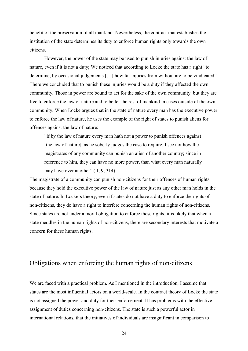benefit of the preservation of all mankind. Nevertheless, the contract that establishes the institution of the state determines its duty to enforce human rights only towards the own citizens.

However, the power of the state may be used to punish injuries against the law of nature, even if it is not a duty; We noticed that according to Locke the state has a right "to determine, by occasional judgements […] how far injuries from without are to be vindicated". There we concluded that to punish these injuries would be a duty if they affected the own community. Those in power are bound to act for the sake of the own community, but they are free to enforce the law of nature and to better the rest of mankind in cases outside of the own community. When Locke argues that in the state of nature every man has the executive power to enforce the law of nature, he uses the example of the right of states to punish aliens for offences against the law of nature:

"if by the law of nature every man hath not a power to punish offences against [the law of nature], as he soberly judges the case to require, I see not how the magistrates of any community can punish an alien of another country; since in reference to him, they can have no more power, than what every man naturally may have over another" (II, 9, 314)

The magistrate of a community can punish non-citizens for their offences of human rights because they hold the executive power of the law of nature just as any other man holds in the state of nature. In Locke's theory, even if states do not have a duty to enforce the rights of non-citizens, they do have a right to interfere concerning the human rights of non-citizens. Since states are not under a moral obligation to enforce these rights, it is likely that when a state meddles in the human rights of non-citizens, there are secondary interests that motivate a concern for these human rights.

# <span id="page-23-0"></span>Obligations when enforcing the human rights of non-citizens

We are faced with a practical problem. As I mentioned in the introduction, I assume that states are the most influential actors on a world-scale. In the contract theory of Locke the state is not assigned the power and duty for their enforcement. It has problems with the effective assignment of duties concerning non-citizens. The state is such a powerful actor in international relations, that the initiatives of individuals are insignificant in comparison to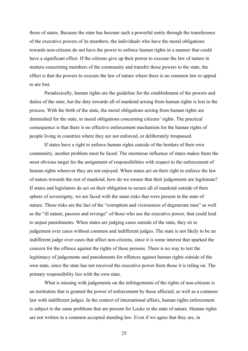those of states. Because the state has become such a powerful entity through the transference of the executive powers of its members, the individuals who have the moral obligations towards non-citizens do not have the power to enforce human rights in a manner that could have a significant effect. If the citizens give up their power to execute the law of nature in matters concerning members of the community and transfer those powers to the state, the effect is that the powers to execute the law of nature where there is no common law to appeal to are lost.

Paradoxically, human rights are the guideline for the establishment of the powers and duties of the state, but the duty towards all of mankind arising from human rights is lost in the process. With the birth of the state, the moral obligations arising from human rights are diminished for the state, to moral obligations concerning citizens' rights. The practical consequence is that there is no effective enforcement mechanism for the human rights of people living in countries where they are not enforced, or deliberately trespassed.

If states have a right to enforce human rights outside of the borders of their own community, another problem must be faced. The enormous influence of states makes them the most obvious target for the assignment of responsibilities with respect to the enforcement of human rights wherever they are not enjoyed. When states act on their right to enforce the law of nature towards the rest of mankind, how do we ensure that their judgements are legitimate? If states and legislators do act on their obligation to secure all of mankind outside of their sphere of sovereignty, we are faced with the same risks that were present in the state of nature. These risks are the fact of the "corruption and viciousness of degenerate men" as well as the "ill nature, passion and revenge" of those who use the executive power, that could lead to unjust punishments. When states are judging cases outside of the state, they sit in judgement over cases without common and indifferent judges. The state is not likely to be an indifferent judge over cases that affect non-citizens, since it is some interest that sparked the concern for the offence against the rights of these persons. There is no way to test the legitimacy of judgements and punishments for offences against human rights outside of the own state, since the state has not received the executive power from those it is ruling on. The primary responsibility lies with the own state.

What is missing with judgements on the infringements of the rights of non-citizens is an institution that is granted the power of enforcement by those affected, as well as a common law with indifferent judges. In the context of international affairs, human rights enforcement is subject to the same problems that are present for Locke in the state of nature. Human rights are not written in a common accepted standing law. Even if we agree that they are, in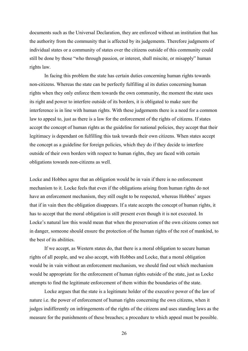documents such as the Universal Declaration, they are enforced without an institution that has the authority from the community that is affected by its judgements. Therefore judgments of individual states or a community of states over the citizens outside of this community could still be done by those "who through passion, or interest, shall miscite, or misapply" human rights law.

In facing this problem the state has certain duties concerning human rights towards non-citizens. Whereas the state can be perfectly fulfilling al its duties concerning human rights when they only enforce them towards the own community, the moment the state uses its right and power to interfere outside of its borders, it is obligated to make sure the interference is in line with human rights. With these judgements there is a need for a common law to appeal to, just as there is a law for the enforcement of the rights of citizens. If states accept the concept of human rights as the guideline for national policies, they accept that their legitimacy is dependant on fulfilling this task towards their own citizens. When states accept the concept as a guideline for foreign policies, which they do if they decide to interfere outside of their own borders with respect to human rights, they are faced with certain obligations towards non-citizens as well.

Locke and Hobbes agree that an obligation would be in vain if there is no enforcement mechanism to it. Locke feels that even if the obligations arising from human rights do not have an enforcement mechanism, they still ought to be respected, whereas Hobbes' argues that if in vain then the obligation disappears. If a state accepts the concept of human rights, it has to accept that the moral obligation is still present even though it is not executed. In Locke's natural law this would mean that when the preservation of the own citizens comes not in danger, someone should ensure the protection of the human rights of the rest of mankind, to the best of its abilities.

If we accept, as Western states do, that there is a moral obligation to secure human rights of all people, and we also accept, with Hobbes and Locke, that a moral obligation would be in vain without an enforcement mechanism, we should find out which mechanism would be appropriate for the enforcement of human rights outside of the state, just as Locke attempts to find the legitimate enforcement of them within the boundaries of the state.

Locke argues that the state is a legitimate holder of the executive power of the law of nature i.e. the power of enforcement of human rights concerning the own citizens, when it judges indifferently on infringements of the rights of the citizens and uses standing laws as the measure for the punishments of these breaches; a procedure to which appeal must be possible.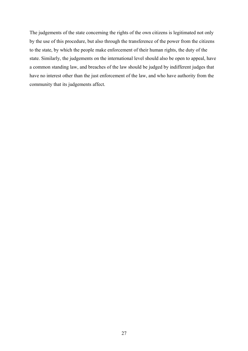The judgements of the state concerning the rights of the own citizens is legitimated not only by the use of this procedure, but also through the transference of the power from the citizens to the state, by which the people make enforcement of their human rights, the duty of the state. Similarly, the judgements on the international level should also be open to appeal, have a common standing law, and breaches of the law should be judged by indifferent judges that have no interest other than the just enforcement of the law, and who have authority from the community that its judgements affect.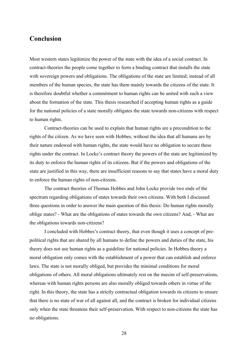## <span id="page-27-0"></span>**Conclusion**

Most western states legitimize the power of the state with the idea of a social contract. In contract-theories the people come together to form a binding contract that installs the state with sovereign powers and obligations. The obligations of the state are limited; instead of all members of the human species, the state has them mainly towards the citizens of the state. It is therefore doubtful whether a commitment to human rights can be united with such a view about the formation of the state. This thesis researched if accepting human rights as a guide for the national policies of a state morally obligates the state towards non-citizens with respect to human rights.

Contract-theories can be used to explain that human rights are a precondition to the rights of the citizen. As we have seen with Hobbes, without the idea that all humans are by their nature endowed with human rights, the state would have no obligation to secure these rights under the contract. In Locke's contract theory the powers of the state are legitimized by its duty to enforce the human rights of its citizens. But if the powers and obligations of the state are justified in this way, there are insufficient reasons to say that states have a moral duty to enforce the human rights of non-citizens.

The contract theories of Thomas Hobbes and John Locke provide two ends of the spectrum regarding obligations of states towards their own citizens. With both I discussed three questions in order to answer the main question of this thesis: Do human rights morally oblige states? - What are the obligations of states towards the own citizens? And, - What are the obligations towards non-citizens?

I concluded with Hobbes's contract theory, that even though it uses a concept of prepolitical rights that are shared by all humans to define the powers and duties of the state, his theory does not use human rights as a guideline for national policies. In Hobbes theory a moral obligation only comes with the establishment of a power that can establish and enforce laws. The state is not morally obliged, but provides the minimal conditions for moral obligations of others. All moral obligations ultimately rest on the maxim of self-preservations, whereas with human rights persons are also morally obliged towards others in virtue of the right. In this theory, the state has a strictly contractual obligation towards its citizens to ensure that there is no state of war of all against all, and the contract is broken for individual citizens only when the state threatens their self-preservation. With respect to non-citizens the state has no obligations.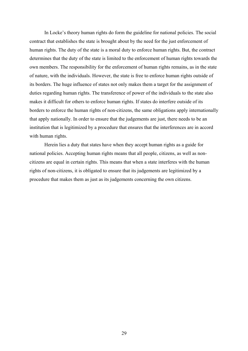In Locke's theory human rights do form the guideline for national policies. The social contract that establishes the state is brought about by the need for the just enforcement of human rights. The duty of the state is a moral duty to enforce human rights. But, the contract determines that the duty of the state is limited to the enforcement of human rights towards the own members. The responsibility for the enforcement of human rights remains, as in the state of nature, with the individuals. However, the state is free to enforce human rights outside of its borders. The huge influence of states not only makes them a target for the assignment of duties regarding human rights. The transference of power of the individuals to the state also makes it difficult for others to enforce human rights. If states do interfere outside of its borders to enforce the human rights of non-citizens, the same obligations apply internationally that apply nationally. In order to ensure that the judgements are just, there needs to be an institution that is legitimized by a procedure that ensures that the interferences are in accord with human rights.

Herein lies a duty that states have when they accept human rights as a guide for national policies. Accepting human rights means that all people, citizens, as well as noncitizens are equal in certain rights. This means that when a state interferes with the human rights of non-citizens, it is obligated to ensure that its judgements are legitimized by a procedure that makes them as just as its judgements concerning the own citizens.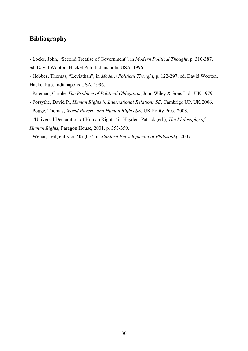# <span id="page-29-0"></span>**Bibliography**

- Locke, John, "Second Treatise of Government", in *Modern Political Thought*, p. 310-387, ed. David Wooton, Hacket Pub. Indianapolis USA, 1996.

- Hobbes, Thomas, "Leviathan", in *Modern Political Thought*, p. 122-297, ed. David Wooton, Hacket Pub. Indianapolis USA, 1996.

- Pateman, Carole, *The Problem of Political Obligation*, John Wiley & Sons Ltd., UK 1979.
- Forsythe, David P., *Human Rights in International Relations SE*, Cambrige UP, UK 2006.
- Pogge, Thomas, *World Poverty and Human Rights SE*, UK Polity Press 2008.
- "Universal Declaration of Human Rights" in Hayden, Patrick (ed.), *The Philosophy of Human Rights*, Paragon House, 2001, p. 353-359.
- Wenar, Leif, entry on 'Rights', in *Stanford Encyclopaedia of Philosophy*, 2007